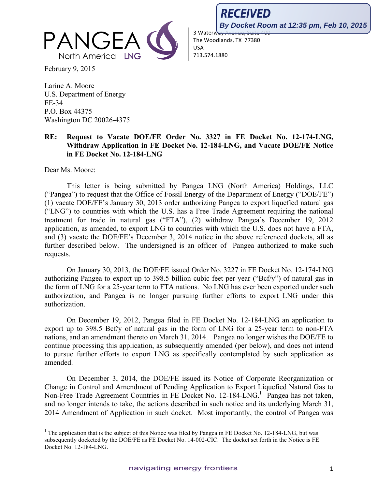

February 9, 2015

Larine A. Moore U.S. Department of Energy FE-34 P.O. Box 44375 Washington DC 20026-4375

!!!!!!!!!!!!!!!!!!!!!!!!!!!!!!!!!!!!!!!!!!!!!!!!!!!!!!!!!!!!

## RECEIVED **By Docket Room at 12:35 pm, Feb 10, 2015**3 Waterw

The Woodlands, TX 77380 USA 713.574.1880

## **RE: Request to Vacate DOE/FE Order No. 3327 in FE Docket No. 12-174-LNG, Withdraw Application in FE Docket No. 12-184-LNG, and Vacate DOE/FE Notice in FE Docket No. 12-184-LNG**

Dear Ms. Moore:

This letter is being submitted by Pangea LNG (North America) Holdings, LLC ("Pangea") to request that the Office of Fossil Energy of the Department of Energy ("DOE/FE") (1) vacate DOE/FE's January 30, 2013 order authorizing Pangea to export liquefied natural gas ("LNG") to countries with which the U.S. has a Free Trade Agreement requiring the national treatment for trade in natural gas ("FTA"), (2) withdraw Pangea's December 19, 2012 application, as amended, to export LNG to countries with which the U.S. does not have a FTA, and (3) vacate the DOE/FE's December 3, 2014 notice in the above referenced dockets, all as further described below. The undersigned is an officer of Pangea authorized to make such requests.

On January 30, 2013, the DOE/FE issued Order No. 3227 in FE Docket No. 12-174-LNG authorizing Pangea to export up to 398.5 billion cubic feet per year ("Bcf/y") of natural gas in the form of LNG for a 25-year term to FTA nations. No LNG has ever been exported under such authorization, and Pangea is no longer pursuing further efforts to export LNG under this authorization.

On December 19, 2012, Pangea filed in FE Docket No. 12-184-LNG an application to export up to 398.5 Bcf/y of natural gas in the form of LNG for a 25-year term to non-FTA nations, and an amendment thereto on March 31, 2014. Pangea no longer wishes the DOE/FE to continue processing this application, as subsequently amended (per below), and does not intend to pursue further efforts to export LNG as specifically contemplated by such application as amended.

On December 3, 2014, the DOE/FE issued its Notice of Corporate Reorganization or Change in Control and Amendment of Pending Application to Export Liquefied Natural Gas to Non-Free Trade Agreement Countries in FE Docket No. 12-184-LNG.<sup>1</sup> Pangea has not taken, and no longer intends to take, the actions described in such notice and its underlying March 31, 2014 Amendment of Application in such docket. Most importantly, the control of Pangea was

<sup>&</sup>lt;sup>1</sup> The application that is the subject of this Notice was filed by Pangea in FE Docket No. 12-184-LNG, but was subsequently docketed by the DOE/FE as FE Docket No. 14-002-CIC. The docket set forth in the Notice is FE Docket No. 12-184-LNG.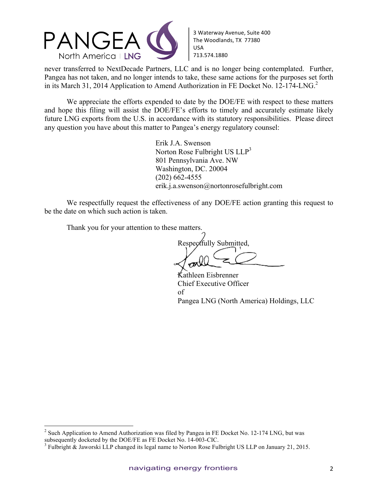

3 Waterway Avenue, Suite 400 The Woodlands, TX 77380 USA 713.574.1880

never transferred to NextDecade Partners, LLC and is no longer being contemplated. Further, Pangea has not taken, and no longer intends to take, these same actions for the purposes set forth in its March 31, 2014 Application to Amend Authorization in FE Docket No. 12-174-LNG.<sup>2</sup>

We appreciate the efforts expended to date by the DOE/FE with respect to these matters and hope this filing will assist the DOE/FE's efforts to timely and accurately estimate likely future LNG exports from the U.S. in accordance with its statutory responsibilities. Please direct any question you have about this matter to Pangea's energy regulatory counsel:

> Erik J.A. Swenson Norton Rose Fulbright US LLP<sup>3</sup> 801 Pennsylvania Ave. NW Washington, DC. 20004 (202) 662-4555 erik.j.a.swenson@nortonrosefulbright.com

We respectfully request the effectiveness of any DOE/FE action granting this request to be the date on which such action is taken.

Thank you for your attention to these matters.

!!!!!!!!!!!!!!!!!!!!!!!!!!!!!!!!!!!!!!!!!!!!!!!!!!!!!!!!!!!!

Respectfully Submitted,

Kathleen Eisbrenner Chief Executive Officer of Pangea LNG (North America) Holdings, LLC

 $2$  Such Application to Amend Authorization was filed by Pangea in FE Docket No. 12-174 LNG, but was subsequently docketed by the DOE/FE as FE Docket No. 14-003-CIC.

 $3$  Fulbright & Jaworski LLP changed its legal name to Norton Rose Fulbright US LLP on January 21, 2015.